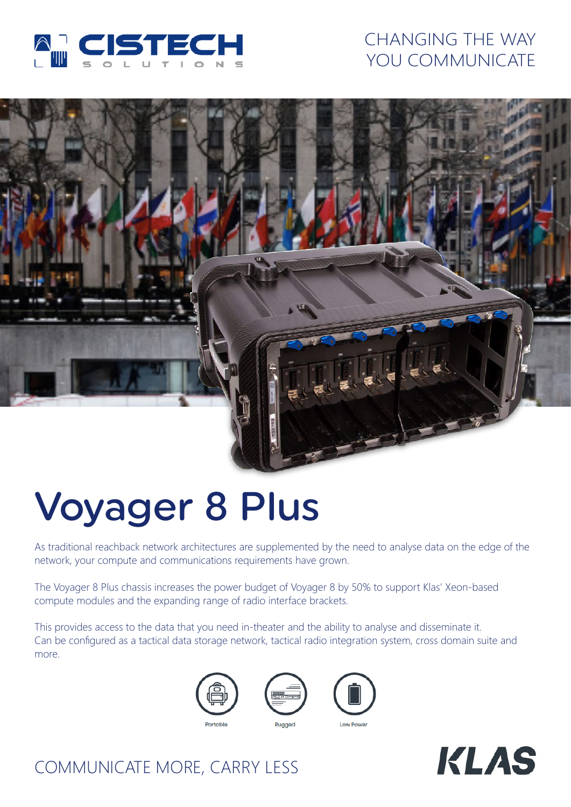

## CHANGING THE WAY YOU COMMUNICATE



# Voyager 8 Plus

As traditional reachback network architectures are supplemented by the need to analyse data on the edge of the network, your compute and communications requirements have grown.

The Voyager 8 Plus chassis increases the power budget of Voyager 8 by 50% to support Klas' Xeon-based compute modules and the expanding range of radio interface brackets.

This provides access to the data that you need in-theater and the ability to analyse and disseminate it. Can be configured as a tactical data storage network, tactical radio integration system, cross domain suite and more.









## COMMUNICATE MORE, CARRY LESS